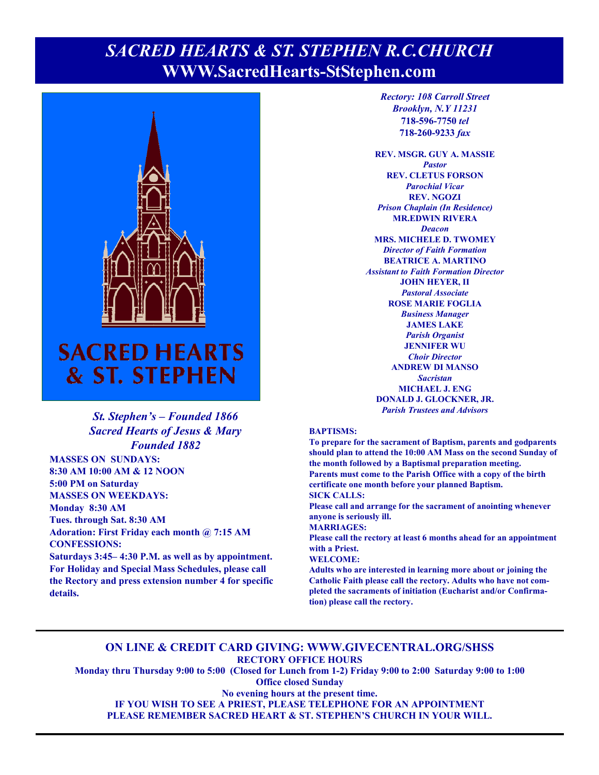### **Page 1, Sunday, May 29, 2022** *SACRED HEARTS & ST. STEPHEN R.C.CHURCH*  **WWW.SacredHearts-StStephen.com**



# & ST. STEPHEN

#### *St. Stephen's – Founded 1866 Sacred Hearts of Jesus & Mary Founded 1882*

**MASSES ON SUNDAYS: 8:30 AM 10:00 AM & 12 NOON 5:00 PM on Saturday MASSES ON WEEKDAYS: Monday 8:30 AM Tues. through Sat. 8:30 AM Adoration: First Friday each month @ 7:15 AM CONFESSIONS:** 

**Saturdays 3:45– 4:30 P.M. as well as by appointment. For Holiday and Special Mass Schedules, please call the Rectory and press extension number 4 for specific details.**

*Rectory: 108 Carroll Street Brooklyn, N.Y 11231*  **718-596-7750** *tel* **718-260-9233** *fax*

**REV. MSGR. GUY A. MASSIE**  *Pastor*  **REV. CLETUS FORSON**  *Parochial Vicar*  **REV. NGOZI**  *Prison Chaplain (In Residence)*  **MR.EDWIN RIVERA**  *Deacon*  **MRS. MICHELE D. TWOMEY**  *Director of Faith Formation*  **BEATRICE A. MARTINO**  *Assistant to Faith Formation Director*  **JOHN HEYER, II**  *Pastoral Associate*  **ROSE MARIE FOGLIA**  *Business Manager*  **JAMES LAKE**  *Parish Organist*  **JENNIFER WU**  *Choir Director* **ANDREW DI MANSO**  *Sacristan*  **MICHAEL J. ENG DONALD J. GLOCKNER, JR.**  *Parish Trustees and Advisors* 

#### **BAPTISMS:**

**To prepare for the sacrament of Baptism, parents and godparents should plan to attend the 10:00 AM Mass on the second Sunday of the month followed by a Baptismal preparation meeting. Parents must come to the Parish Office with a copy of the birth certificate one month before your planned Baptism. SICK CALLS:** 

**Please call and arrange for the sacrament of anointing whenever anyone is seriously ill.** 

**MARRIAGES:** 

**Please call the rectory at least 6 months ahead for an appointment with a Priest.** 

#### **WELCOME:**

**Adults who are interested in learning more about or joining the Catholic Faith please call the rectory. Adults who have not completed the sacraments of initiation (Eucharist and/or Confirmation) please call the rectory.** 

#### **ON LINE & CREDIT CARD GIVING: WWW.GIVECENTRAL.ORG/SHSS RECTORY OFFICE HOURS**

**Monday thru Thursday 9:00 to 5:00 (Closed for Lunch from 1-2) Friday 9:00 to 2:00 Saturday 9:00 to 1:00 Office closed Sunday** 

**No evening hours at the present time.** 

**IF YOU WISH TO SEE A PRIEST, PLEASE TELEPHONE FOR AN APPOINTMENT** 

**PLEASE REMEMBER SACRED HEART & ST. STEPHEN'S CHURCH IN YOUR WILL.**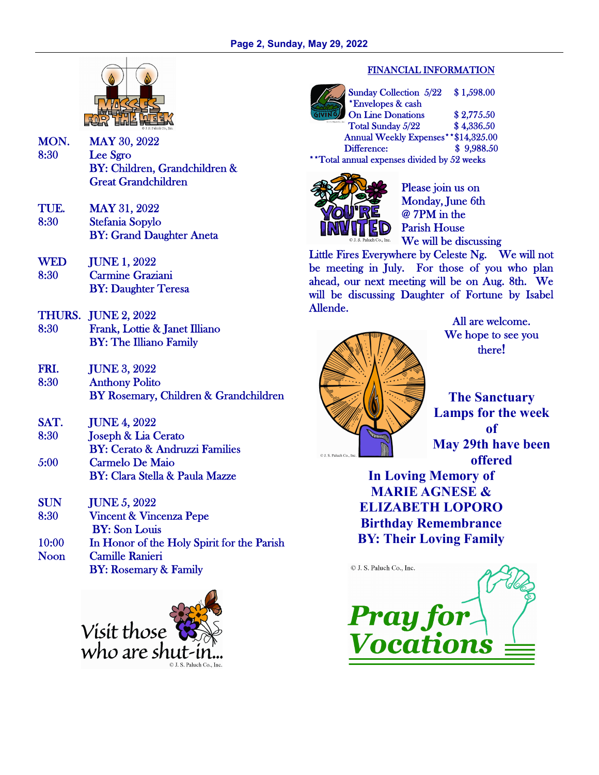

- MON. MAY 30, 2022 8:30 Lee Sgro BY: Children, Grandchildren & Great Grandchildren
- TUE. MAY 31, 2022<br>8:30 Stefania Sopylo Stefania Sopylo BY: Grand Daughter Aneta
- WED JUNE 1, 2022 8:30 Carmine Graziani BY: Daughter Teresa
- THURS. JUNE 2, 2022 8:30 Frank, Lottie & Janet Illiano BY: The Illiano Family
- FRI. JUNE 3, 2022 8:30 Anthony Polito BY Rosemary, Children & Grandchildren
- SAT. JUNE 4, 2022
- 8:30 Joseph & Lia Cerato BY: Cerato & Andruzzi Families 5:00 Carmelo De Maio
- BY: Clara Stella & Paula Mazze
- SUN JUNE 5, 2022 8:30 Vincent & Vincenza Pepe BY: Son Louis 10:00 In Honor of the Holy Spirit for the Parish Noon Camille Ranieri BY: Rosemary & Family



#### FINANCIAL INFORMATION

Sunday Collection 5/22 \$ 1,598.00 \*Envelopes & cash On Line Donations \$2,775.50 Total Sunday 5/22 \$4,336.50 Annual Weekly Expenses\*\*\$14,325.00 Difference: \$ 9,988.50 \*\*Total annual expenses divided by 52 weeks



Please join us on Monday, June 6th @ 7PM in the Parish House We will be discussing

Little Fires Everywhere by Celeste Ng. We will not be meeting in July. For those of you who plan ahead, our next meeting will be on Aug. 8th. We will be discussing Daughter of Fortune by Isabel Allende.



All are welcome. We hope to see you there!

**The Sanctuary Lamps for the week of May 29th have been offered** 

**In Loving Memory of MARIE AGNESE & ELIZABETH LOPORO Birthday Remembrance BY: Their Loving Family**

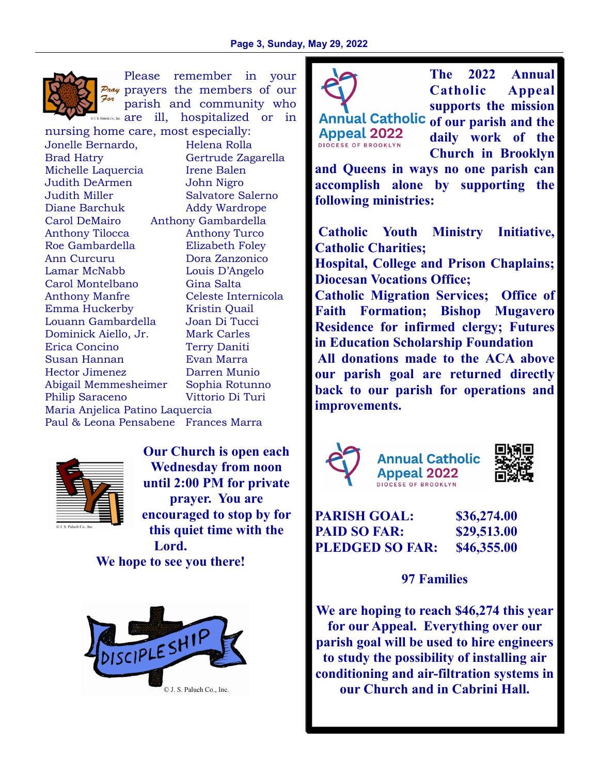

Please remember in your  $P_{\text{max}}$  prayers the members of our For parish and community who Paluch Co., Inc. **are** ill, hospitalized or in

nursing home care, most especially: Jonelle Bernardo, Helena Rolla Brad Hatry Gertrude Zagarella Michelle Laquercia Irene Balen Judith DeArmen John Nigro Judith Miller Salvatore Salerno Diane Barchuk Addy Wardrope Carol DeMairo Anthony Gambardella Anthony Tilocca Anthony Turco Roe Gambardella Elizabeth Foley Ann Curcuru Dora Zanzonico Lamar McNabb Louis D'Angelo Carol Montelbano Gina Salta Anthony Manfre Celeste Internicola Emma Huckerby Kristin Quail Louann Gambardella Joan Di Tucci Dominick Aiello, Jr. Mark Carles Erica Concino Terry Daniti Susan Hannan Evan Marra Hector Jimenez Darren Munio Abigail Memmesheimer Sophia Rotunno Philip Saraceno Vittorio Di Turi Maria Anjelica Patino Laquercia Paul & Leona Pensabene Frances Marra



**Our Church is open each Wednesday from noon until 2:00 PM for private prayer. You are encouraged to stop by for this quiet time with the Lord.** 

**We hope to see you there!** 





Annual Catholic of our parish and the **Appeal 2022 DIOCESE OF BROOKLYN** 

**The 2022 Annual Catholic Appeal supports the mission** 

**daily work of the Church in Brooklyn** 

**and Queens in ways no one parish can accomplish alone by supporting the following ministries:** 

 **Catholic Youth Ministry Initiative, Catholic Charities;** 

**Hospital, College and Prison Chaplains; Diocesan Vocations Office;** 

**Catholic Migration Services; Office of Faith Formation; Bishop Mugavero Residence for infirmed clergy; Futures in Education Scholarship Foundation All donations made to the ACA above** 

**our parish goal are returned directly back to our parish for operations and improvements.** 







**PARISH GOAL: \$36,274.00 PAID SO FAR: \$29,513.00 PLEDGED SO FAR: \$46,355.00** 

**97 Families** 

**We are hoping to reach \$46,274 this year for our Appeal. Everything over our parish goal will be used to hire engineers to study the possibility of installing air conditioning and air-filtration systems in our Church and in Cabrini Hall.**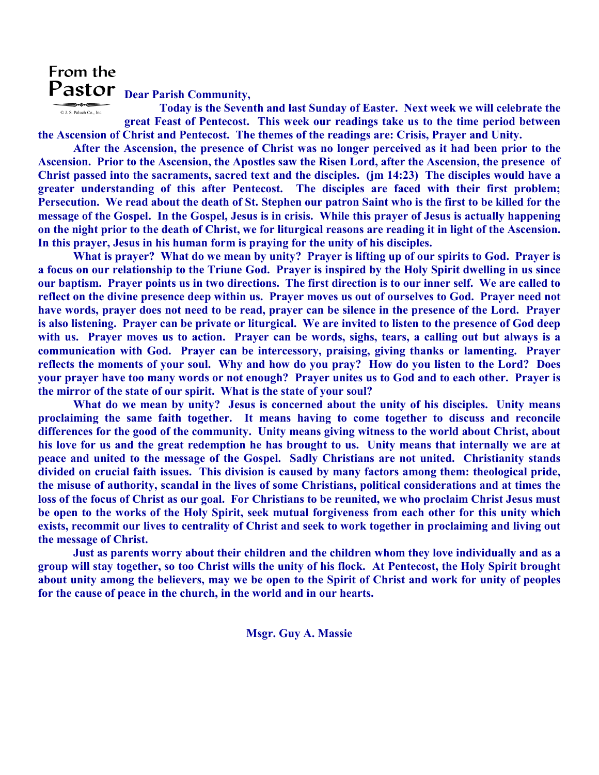### From the Pastor <sub>Dear Parish Community,</sub>

 **Today is the Seventh and last Sunday of Easter. Next week we will celebrate the**  © J. S. Paluch Co., Inc. **great Feast of Pentecost. This week our readings take us to the time period between the Ascension of Christ and Pentecost. The themes of the readings are: Crisis, Prayer and Unity.** 

 **After the Ascension, the presence of Christ was no longer perceived as it had been prior to the Ascension. Prior to the Ascension, the Apostles saw the Risen Lord, after the Ascension, the presence of Christ passed into the sacraments, sacred text and the disciples. (jm 14:23) The disciples would have a greater understanding of this after Pentecost. The disciples are faced with their first problem; Persecution. We read about the death of St. Stephen our patron Saint who is the first to be killed for the message of the Gospel. In the Gospel, Jesus is in crisis. While this prayer of Jesus is actually happening on the night prior to the death of Christ, we for liturgical reasons are reading it in light of the Ascension. In this prayer, Jesus in his human form is praying for the unity of his disciples.** 

 **What is prayer? What do we mean by unity? Prayer is lifting up of our spirits to God. Prayer is a focus on our relationship to the Triune God. Prayer is inspired by the Holy Spirit dwelling in us since our baptism. Prayer points us in two directions. The first direction is to our inner self. We are called to reflect on the divine presence deep within us. Prayer moves us out of ourselves to God. Prayer need not have words, prayer does not need to be read, prayer can be silence in the presence of the Lord. Prayer is also listening. Prayer can be private or liturgical. We are invited to listen to the presence of God deep with us. Prayer moves us to action. Prayer can be words, sighs, tears, a calling out but always is a communication with God. Prayer can be intercessory, praising, giving thanks or lamenting. Prayer reflects the moments of your soul. Why and how do you pray? How do you listen to the Lord? Does your prayer have too many words or not enough? Prayer unites us to God and to each other. Prayer is the mirror of the state of our spirit. What is the state of your soul?** 

 **What do we mean by unity? Jesus is concerned about the unity of his disciples. Unity means proclaiming the same faith together. It means having to come together to discuss and reconcile differences for the good of the community. Unity means giving witness to the world about Christ, about his love for us and the great redemption he has brought to us. Unity means that internally we are at peace and united to the message of the Gospel. Sadly Christians are not united. Christianity stands divided on crucial faith issues. This division is caused by many factors among them: theological pride, the misuse of authority, scandal in the lives of some Christians, political considerations and at times the loss of the focus of Christ as our goal. For Christians to be reunited, we who proclaim Christ Jesus must be open to the works of the Holy Spirit, seek mutual forgiveness from each other for this unity which exists, recommit our lives to centrality of Christ and seek to work together in proclaiming and living out the message of Christ.** 

 **Just as parents worry about their children and the children whom they love individually and as a group will stay together, so too Christ wills the unity of his flock. At Pentecost, the Holy Spirit brought about unity among the believers, may we be open to the Spirit of Christ and work for unity of peoples for the cause of peace in the church, in the world and in our hearts.** 

**Msgr. Guy A. Massie**